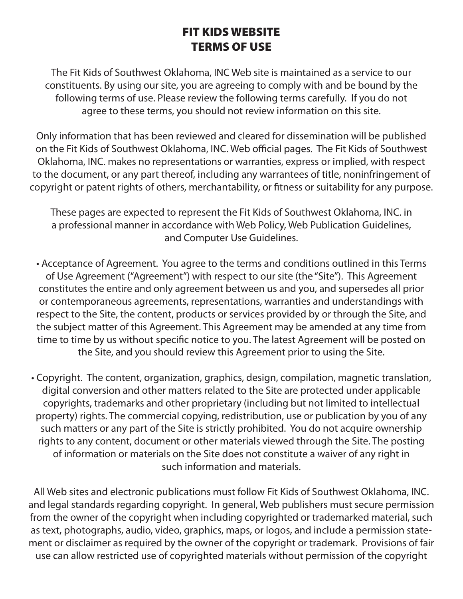## FIT KIDS WEBSITE TERMS OF USE

The Fit Kids of Southwest Oklahoma, INC Web site is maintained as a service to our constituents. By using our site, you are agreeing to comply with and be bound by the following terms of use. Please review the following terms carefully. If you do not agree to these terms, you should not review information on this site.

Only information that has been reviewed and cleared for dissemination will be published on the Fit Kids of Southwest Oklahoma, INC. Web official pages. The Fit Kids of Southwest Oklahoma, INC. makes no representations or warranties, express or implied, with respect to the document, or any part thereof, including any warrantees of title, noninfringement of copyright or patent rights of others, merchantability, or fitness or suitability for any purpose.

These pages are expected to represent the Fit Kids of Southwest Oklahoma, INC. in a professional manner in accordance with Web Policy, Web Publication Guidelines, and Computer Use Guidelines.

• Acceptance of Agreement. You agree to the terms and conditions outlined in this Terms of Use Agreement ("Agreement") with respect to our site (the "Site"). This Agreement constitutes the entire and only agreement between us and you, and supersedes all prior or contemporaneous agreements, representations, warranties and understandings with respect to the Site, the content, products or services provided by or through the Site, and the subject matter of this Agreement. This Agreement may be amended at any time from time to time by us without specific notice to you. The latest Agreement will be posted on the Site, and you should review this Agreement prior to using the Site.

• Copyright. The content, organization, graphics, design, compilation, magnetic translation, digital conversion and other matters related to the Site are protected under applicable copyrights, trademarks and other proprietary (including but not limited to intellectual property) rights. The commercial copying, redistribution, use or publication by you of any such matters or any part of the Site is strictly prohibited. You do not acquire ownership rights to any content, document or other materials viewed through the Site. The posting of information or materials on the Site does not constitute a waiver of any right in such information and materials.

All Web sites and electronic publications must follow Fit Kids of Southwest Oklahoma, INC. and legal standards regarding copyright. In general, Web publishers must secure permission from the owner of the copyright when including copyrighted or trademarked material, such as text, photographs, audio, video, graphics, maps, or logos, and include a permission statement or disclaimer as required by the owner of the copyright or trademark. Provisions of fair use can allow restricted use of copyrighted materials without permission of the copyright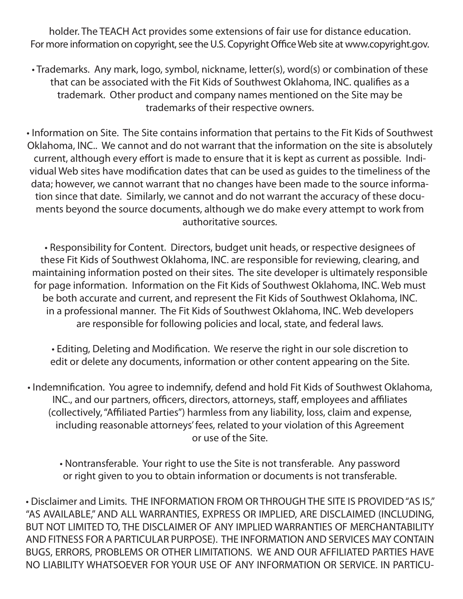holder. The TEACH Act provides some extensions of fair use for distance education. For more information on copyright, see the U.S. Copyright Office Web site at www.copyright.gov.

• Trademarks. Any mark, logo, symbol, nickname, letter(s), word(s) or combination of these that can be associated with the Fit Kids of Southwest Oklahoma, INC. qualifies as a trademark. Other product and company names mentioned on the Site may be trademarks of their respective owners.

• Information on Site. The Site contains information that pertains to the Fit Kids of Southwest Oklahoma, INC.. We cannot and do not warrant that the information on the site is absolutely current, although every effort is made to ensure that it is kept as current as possible. Individual Web sites have modification dates that can be used as guides to the timeliness of the data; however, we cannot warrant that no changes have been made to the source information since that date. Similarly, we cannot and do not warrant the accuracy of these documents beyond the source documents, although we do make every attempt to work from authoritative sources.

• Responsibility for Content. Directors, budget unit heads, or respective designees of these Fit Kids of Southwest Oklahoma, INC. are responsible for reviewing, clearing, and maintaining information posted on their sites. The site developer is ultimately responsible for page information. Information on the Fit Kids of Southwest Oklahoma, INC. Web must be both accurate and current, and represent the Fit Kids of Southwest Oklahoma, INC. in a professional manner. The Fit Kids of Southwest Oklahoma, INC. Web developers are responsible for following policies and local, state, and federal laws.

• Editing, Deleting and Modification. We reserve the right in our sole discretion to edit or delete any documents, information or other content appearing on the Site.

• Indemnification. You agree to indemnify, defend and hold Fit Kids of Southwest Oklahoma, INC., and our partners, officers, directors, attorneys, staff, employees and affiliates (collectively, "Affiliated Parties") harmless from any liability, loss, claim and expense, including reasonable attorneys' fees, related to your violation of this Agreement or use of the Site.

• Nontransferable. Your right to use the Site is not transferable. Any password or right given to you to obtain information or documents is not transferable.

• Disclaimer and Limits. THE INFORMATION FROM OR THROUGH THE SITE IS PROVIDED "AS IS," "AS AVAILABLE," AND ALL WARRANTIES, EXPRESS OR IMPLIED, ARE DISCLAIMED (INCLUDING, BUT NOT LIMITED TO, THE DISCLAIMER OF ANY IMPLIED WARRANTIES OF MERCHANTABILITY AND FITNESS FOR A PARTICULAR PURPOSE). THE INFORMATION AND SERVICES MAY CONTAIN BUGS, ERRORS, PROBLEMS OR OTHER LIMITATIONS. WE AND OUR AFFILIATED PARTIES HAVE NO LIABILITY WHATSOEVER FOR YOUR USE OF ANY INFORMATION OR SERVICE. IN PARTICU-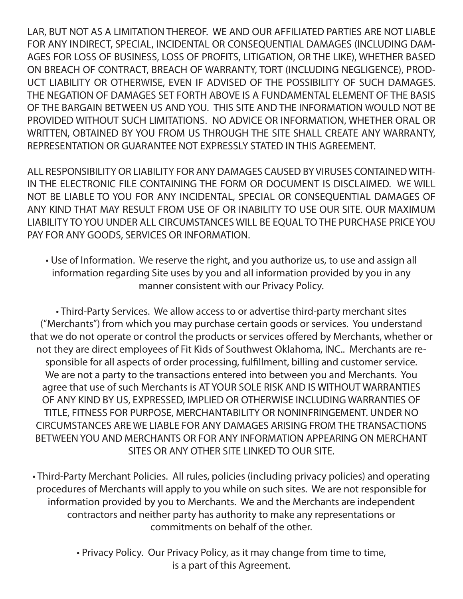LAR, BUT NOT AS A LIMITATION THEREOF. WE AND OUR AFFILIATED PARTIES ARE NOT LIABLE FOR ANY INDIRECT, SPECIAL, INCIDENTAL OR CONSEQUENTIAL DAMAGES (INCLUDING DAM-AGES FOR LOSS OF BUSINESS, LOSS OF PROFITS, LITIGATION, OR THE LIKE), WHETHER BASED ON BREACH OF CONTRACT, BREACH OF WARRANTY, TORT (INCLUDING NEGLIGENCE), PROD-UCT LIABILITY OR OTHERWISE, EVEN IF ADVISED OF THE POSSIBILITY OF SUCH DAMAGES. THE NEGATION OF DAMAGES SET FORTH ABOVE IS A FUNDAMENTAL ELEMENT OF THE BASIS OF THE BARGAIN BETWEEN US AND YOU. THIS SITE AND THE INFORMATION WOULD NOT BE PROVIDED WITHOUT SUCH LIMITATIONS. NO ADVICE OR INFORMATION, WHETHER ORAL OR WRITTEN, OBTAINED BY YOU FROM US THROUGH THE SITE SHALL CREATE ANY WARRANTY, REPRESENTATION OR GUARANTEE NOT EXPRESSLY STATED IN THIS AGREEMENT.

ALL RESPONSIBILITY OR LIABILITY FOR ANY DAMAGES CAUSED BY VIRUSES CONTAINED WITH-IN THE ELECTRONIC FILE CONTAINING THE FORM OR DOCUMENT IS DISCLAIMED. WE WILL NOT BE LIABLE TO YOU FOR ANY INCIDENTAL, SPECIAL OR CONSEQUENTIAL DAMAGES OF ANY KIND THAT MAY RESULT FROM USE OF OR INABILITY TO USE OUR SITE. OUR MAXIMUM LIABILITY TO YOU UNDER ALL CIRCUMSTANCES WILL BE EQUAL TO THE PURCHASE PRICE YOU PAY FOR ANY GOODS, SERVICES OR INFORMATION.

• Use of Information. We reserve the right, and you authorize us, to use and assign all information regarding Site uses by you and all information provided by you in any manner consistent with our Privacy Policy.

• Third-Party Services. We allow access to or advertise third-party merchant sites ("Merchants") from which you may purchase certain goods or services. You understand that we do not operate or control the products or services offered by Merchants, whether or not they are direct employees of Fit Kids of Southwest Oklahoma, INC.. Merchants are responsible for all aspects of order processing, fulfillment, billing and customer service. We are not a party to the transactions entered into between you and Merchants. You agree that use of such Merchants is AT YOUR SOLE RISK AND IS WITHOUT WARRANTIES OF ANY KIND BY US, EXPRESSED, IMPLIED OR OTHERWISE INCLUDING WARRANTIES OF TITLE, FITNESS FOR PURPOSE, MERCHANTABILITY OR NONINFRINGEMENT. UNDER NO CIRCUMSTANCES ARE WE LIABLE FOR ANY DAMAGES ARISING FROM THE TRANSACTIONS BETWEEN YOU AND MERCHANTS OR FOR ANY INFORMATION APPEARING ON MERCHANT SITES OR ANY OTHER SITE LINKED TO OUR SITE.

• Third-Party Merchant Policies. All rules, policies (including privacy policies) and operating procedures of Merchants will apply to you while on such sites. We are not responsible for information provided by you to Merchants. We and the Merchants are independent contractors and neither party has authority to make any representations or commitments on behalf of the other.

> • Privacy Policy. Our Privacy Policy, as it may change from time to time, is a part of this Agreement.